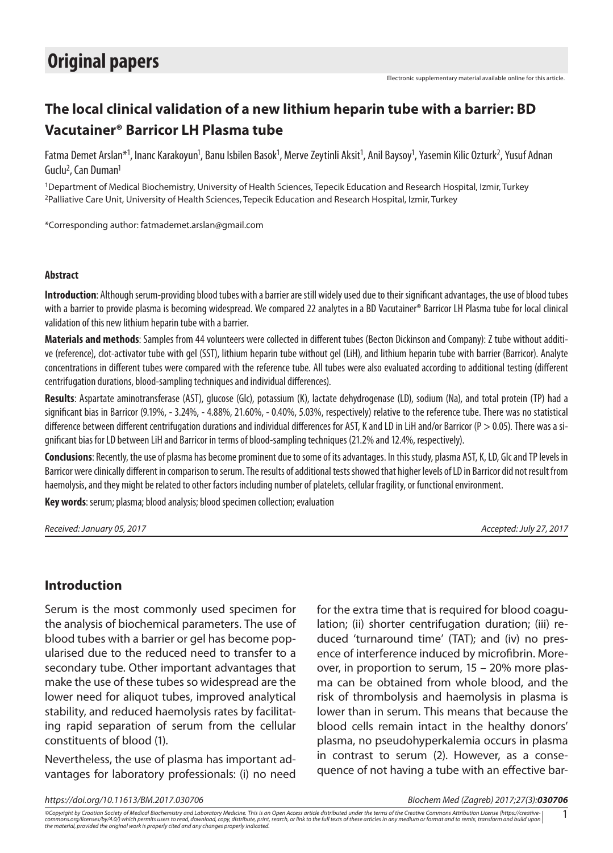# **Original papers**

## **The local clinical validation of a new lithium heparin tube with a barrier: BD Vacutainer® Barricor LH Plasma tube**

Fatma Demet Arslan\*<sup>1</sup>, Inanc Karakoyun<sup>1</sup>, Banu Isbilen Basok<sup>1</sup>, Merve Zeytinli Aksit<sup>1</sup>, Anil Baysoy<sup>1</sup>, Yasemin Kilic Ozturk<sup>2</sup>, Yusuf Adnan Guclu<sup>2</sup>, Can Duman<sup>1</sup>

1Department of Medical Biochemistry, University of Health Sciences, Tepecik Education and Research Hospital, Izmir, Turkey 2Palliative Care Unit, University of Health Sciences, Tepecik Education and Research Hospital, Izmir, Turkey

\*Corresponding author: fatmademet.arslan@gmail.com

#### **Abstract**

**Introduction**: Although serum-providing blood tubes with a barrier are still widely used due to their significant advantages, the use of blood tubes with a barrier to provide plasma is becoming widespread. We compared 22 analytes in a BD Vacutainer® Barricor LH Plasma tube for local clinical validation of this new lithium heparin tube with a barrier.

**Materials and methods**: Samples from 44 volunteers were collected in different tubes (Becton Dickinson and Company): Z tube without additive (reference), clot-activator tube with gel (SST), lithium heparin tube without gel (LiH), and lithium heparin tube with barrier (Barricor). Analyte concentrations in different tubes were compared with the reference tube. All tubes were also evaluated according to additional testing (different centrifugation durations, blood-sampling techniques and individual differences).

**Results**: Aspartate aminotransferase (AST), glucose (Glc), potassium (K), lactate dehydrogenase (LD), sodium (Na), and total protein (TP) had a significant bias in Barricor (9.19%, - 3.24%, - 4.88%, 21.60%, - 0.40%, 5.03%, respectively) relative to the reference tube. There was no statistical difference between different centrifugation durations and individual differences for AST, K and LD in LiH and/or Barricor (P > 0.05). There was a significant bias for LD between LiH and Barricor in terms of blood-sampling techniques (21.2% and 12.4%, respectively).

**Conclusions**: Recently, the use of plasma has become prominent due to some of its advantages. In this study, plasma AST, K, LD, Glc and TP levels in Barricor were clinically different in comparison to serum. The results of additional tests showed that higher levels of LD in Barricor did not result from haemolysis, and they might be related to other factors including number of platelets, cellular fragility, or functional environment.

**Key words**: serum; plasma; blood analysis; blood specimen collection; evaluation

*Received: January 05, 2017 Accepted: July 27, 2017*

## **Introduction**

Serum is the most commonly used specimen for the analysis of biochemical parameters. The use of blood tubes with a barrier or gel has become popularised due to the reduced need to transfer to a secondary tube. Other important advantages that make the use of these tubes so widespread are the lower need for aliquot tubes, improved analytical stability, and reduced haemolysis rates by facilitating rapid separation of serum from the cellular constituents of blood (1).

Nevertheless, the use of plasma has important advantages for laboratory professionals: (i) no need for the extra time that is required for blood coagulation; (ii) shorter centrifugation duration; (iii) reduced 'turnaround time' (TAT); and (iv) no presence of interference induced by microfibrin. Moreover, in proportion to serum, 15 – 20% more plasma can be obtained from whole blood, and the risk of thrombolysis and haemolysis in plasma is lower than in serum. This means that because the blood cells remain intact in the healthy donors' plasma, no pseudohyperkalemia occurs in plasma in contrast to serum (2). However, as a consequence of not having a tube with an effective bar-

*https://doi.org/10.11613/BM.2017.030706 Biochem Med (Zagreb) 2017;27(3):030706*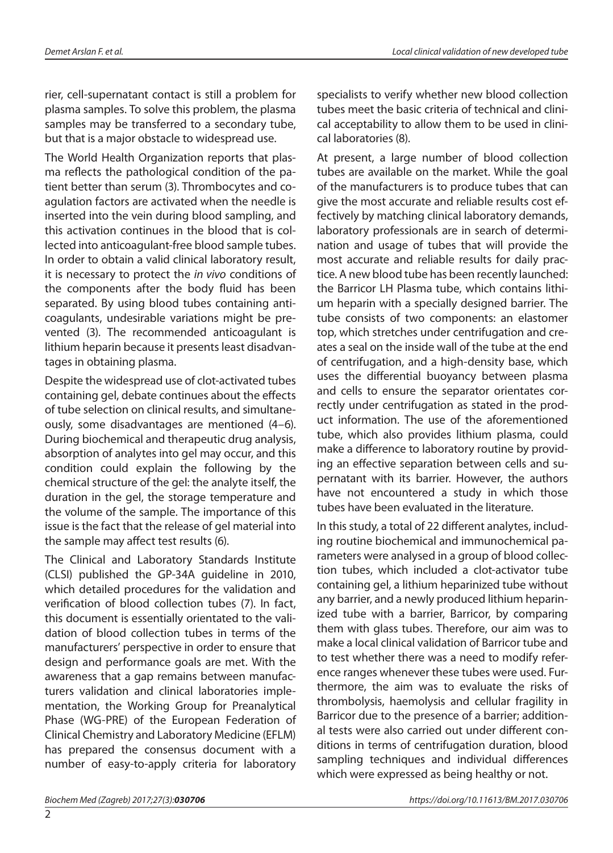rier, cell-supernatant contact is still a problem for plasma samples. To solve this problem, the plasma samples may be transferred to a secondary tube, but that is a major obstacle to widespread use.

The World Health Organization reports that plasma reflects the pathological condition of the patient better than serum (3). Thrombocytes and coagulation factors are activated when the needle is inserted into the vein during blood sampling, and this activation continues in the blood that is collected into anticoagulant-free blood sample tubes. In order to obtain a valid clinical laboratory result, it is necessary to protect the *in vivo* conditions of the components after the body fluid has been separated. By using blood tubes containing anticoagulants, undesirable variations might be prevented (3). The recommended anticoagulant is lithium heparin because it presents least disadvantages in obtaining plasma.

Despite the widespread use of clot-activated tubes containing gel, debate continues about the effects of tube selection on clinical results, and simultaneously, some disadvantages are mentioned (4–6). During biochemical and therapeutic drug analysis, absorption of analytes into gel may occur, and this condition could explain the following by the chemical structure of the gel: the analyte itself, the duration in the gel, the storage temperature and the volume of the sample. The importance of this issue is the fact that the release of gel material into the sample may affect test results (6).

The Clinical and Laboratory Standards Institute (CLSI) published the GP-34A guideline in 2010, which detailed procedures for the validation and verification of blood collection tubes (7). In fact, this document is essentially orientated to the validation of blood collection tubes in terms of the manufacturers' perspective in order to ensure that design and performance goals are met. With the awareness that a gap remains between manufacturers validation and clinical laboratories implementation, the Working Group for Preanalytical Phase (WG-PRE) of the European Federation of Clinical Chemistry and Laboratory Medicine (EFLM) has prepared the consensus document with a number of easy-to-apply criteria for laboratory specialists to verify whether new blood collection tubes meet the basic criteria of technical and clinical acceptability to allow them to be used in clinical laboratories (8).

At present, a large number of blood collection tubes are available on the market. While the goal of the manufacturers is to produce tubes that can give the most accurate and reliable results cost effectively by matching clinical laboratory demands, laboratory professionals are in search of determination and usage of tubes that will provide the most accurate and reliable results for daily practice. A new blood tube has been recently launched: the Barricor LH Plasma tube, which contains lithium heparin with a specially designed barrier. The tube consists of two components: an elastomer top, which stretches under centrifugation and creates a seal on the inside wall of the tube at the end of centrifugation, and a high-density base, which uses the differential buoyancy between plasma and cells to ensure the separator orientates correctly under centrifugation as stated in the product information. The use of the aforementioned tube, which also provides lithium plasma, could make a difference to laboratory routine by providing an effective separation between cells and supernatant with its barrier. However, the authors have not encountered a study in which those tubes have been evaluated in the literature.

In this study, a total of 22 different analytes, including routine biochemical and immunochemical parameters were analysed in a group of blood collection tubes, which included a clot-activator tube containing gel, a lithium heparinized tube without any barrier, and a newly produced lithium heparinized tube with a barrier, Barricor, by comparing them with glass tubes. Therefore, our aim was to make a local clinical validation of Barricor tube and to test whether there was a need to modify reference ranges whenever these tubes were used. Furthermore, the aim was to evaluate the risks of thrombolysis, haemolysis and cellular fragility in Barricor due to the presence of a barrier; additional tests were also carried out under different conditions in terms of centrifugation duration, blood sampling techniques and individual differences which were expressed as being healthy or not.

 $\overline{2}$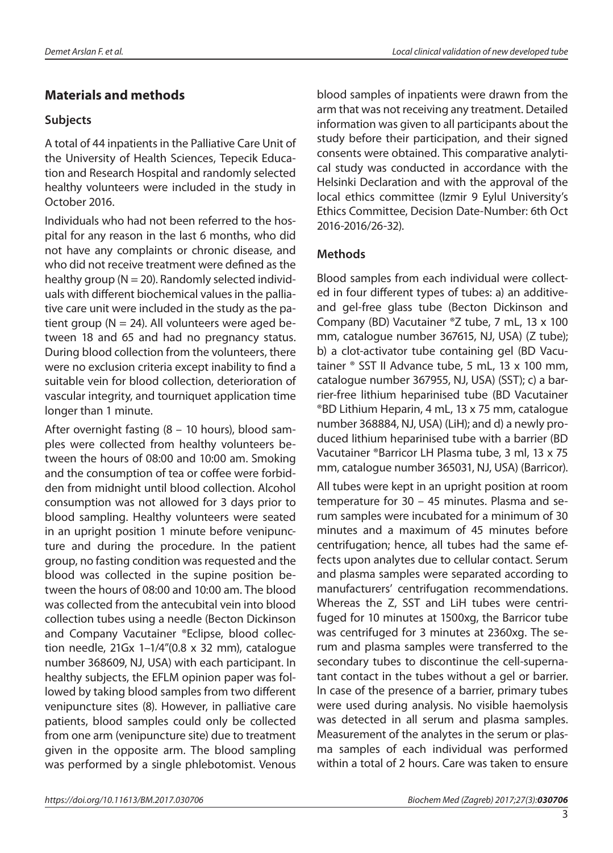## **Materials and methods**

#### **Subjects**

A total of 44 inpatients in the Palliative Care Unit of the University of Health Sciences, Tepecik Education and Research Hospital and randomly selected healthy volunteers were included in the study in October 2016.

Individuals who had not been referred to the hospital for any reason in the last 6 months, who did not have any complaints or chronic disease, and who did not receive treatment were defined as the healthy group ( $N = 20$ ). Randomly selected individuals with different biochemical values in the palliative care unit were included in the study as the patient group ( $N = 24$ ). All volunteers were aged between 18 and 65 and had no pregnancy status. During blood collection from the volunteers, there were no exclusion criteria except inability to find a suitable vein for blood collection, deterioration of vascular integrity, and tourniquet application time longer than 1 minute.

After overnight fasting (8 – 10 hours), blood samples were collected from healthy volunteers between the hours of 08:00 and 10:00 am. Smoking and the consumption of tea or coffee were forbidden from midnight until blood collection. Alcohol consumption was not allowed for 3 days prior to blood sampling. Healthy volunteers were seated in an upright position 1 minute before venipuncture and during the procedure. In the patient group, no fasting condition was requested and the blood was collected in the supine position between the hours of 08:00 and 10:00 am. The blood was collected from the antecubital vein into blood collection tubes using a needle (Becton Dickinson and Company Vacutainer ®Eclipse, blood collection needle, 21Gx 1–1/4"(0.8 x 32 mm), catalogue number 368609, NJ, USA) with each participant. In healthy subjects, the EFLM opinion paper was followed by taking blood samples from two different venipuncture sites (8). However, in palliative care patients, blood samples could only be collected from one arm (venipuncture site) due to treatment given in the opposite arm. The blood sampling was performed by a single phlebotomist. Venous

blood samples of inpatients were drawn from the arm that was not receiving any treatment. Detailed information was given to all participants about the study before their participation, and their signed consents were obtained. This comparative analytical study was conducted in accordance with the Helsinki Declaration and with the approval of the local ethics committee (Izmir 9 Eylul University's Ethics Committee, Decision Date-Number: 6th Oct 2016-2016/26-32).

## **Methods**

Blood samples from each individual were collected in four different types of tubes: a) an additiveand gel-free glass tube (Becton Dickinson and Company (BD) Vacutainer ®Z tube, 7 mL, 13 x 100 mm, catalogue number 367615, NJ, USA) (Z tube); b) a clot-activator tube containing gel (BD Vacutainer ® SST II Advance tube, 5 mL, 13 x 100 mm, catalogue number 367955, NJ, USA) (SST); c) a barrier-free lithium heparinised tube (BD Vacutainer ®BD Lithium Heparin, 4 mL, 13 x 75 mm, catalogue number 368884, NJ, USA) (LiH); and d) a newly produced lithium heparinised tube with a barrier (BD Vacutainer ®Barricor LH Plasma tube, 3 ml, 13 x 75 mm, catalogue number 365031, NJ, USA) (Barricor).

All tubes were kept in an upright position at room temperature for 30 – 45 minutes. Plasma and serum samples were incubated for a minimum of 30 minutes and a maximum of 45 minutes before centrifugation; hence, all tubes had the same effects upon analytes due to cellular contact. Serum and plasma samples were separated according to manufacturers' centrifugation recommendations. Whereas the Z, SST and LiH tubes were centrifuged for 10 minutes at 1500xg, the Barricor tube was centrifuged for 3 minutes at 2360xg. The serum and plasma samples were transferred to the secondary tubes to discontinue the cell-supernatant contact in the tubes without a gel or barrier. In case of the presence of a barrier, primary tubes were used during analysis. No visible haemolysis was detected in all serum and plasma samples. Measurement of the analytes in the serum or plasma samples of each individual was performed within a total of 2 hours. Care was taken to ensure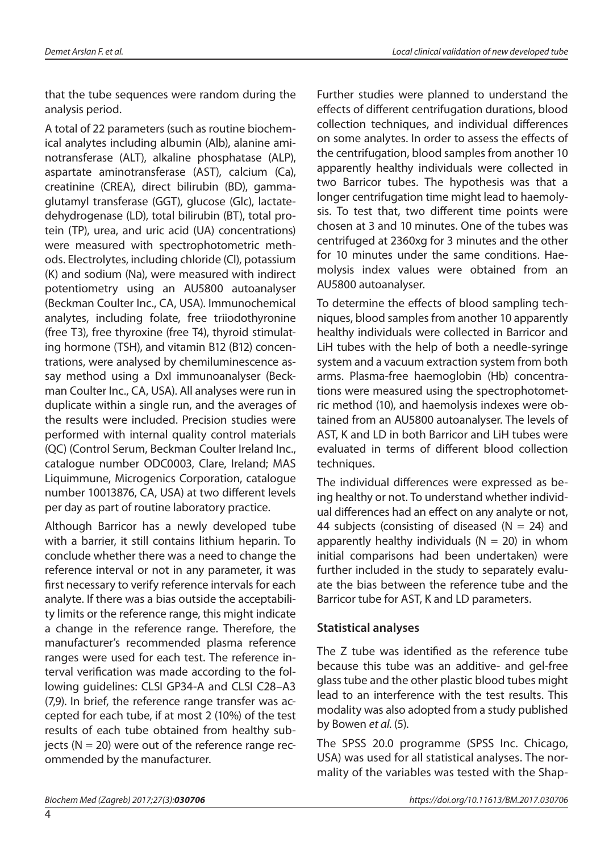that the tube sequences were random during the analysis period.

A total of 22 parameters (such as routine biochemical analytes including albumin (Alb), alanine aminotransferase (ALT), alkaline phosphatase (ALP), aspartate aminotransferase (AST), calcium (Ca), creatinine (CREA), direct bilirubin (BD), gammaglutamyl transferase (GGT), glucose (Glc), lactatedehydrogenase (LD), total bilirubin (BT), total protein (TP), urea, and uric acid (UA) concentrations) were measured with spectrophotometric methods. Electrolytes, including chloride (Cl), potassium (K) and sodium (Na), were measured with indirect potentiometry using an AU5800 autoanalyser (Beckman Coulter Inc., CA, USA). Immunochemical analytes, including folate, free triiodothyronine (free T3), free thyroxine (free T4), thyroid stimulating hormone (TSH), and vitamin B12 (B12) concentrations, were analysed by chemiluminescence assay method using a DxI immunoanalyser (Beckman Coulter Inc., CA, USA). All analyses were run in duplicate within a single run, and the averages of the results were included. Precision studies were performed with internal quality control materials (QC) (Control Serum, Beckman Coulter Ireland Inc., catalogue number ODC0003, Clare, Ireland; MAS Liquimmune, Microgenics Corporation, catalogue number 10013876, CA, USA) at two different levels per day as part of routine laboratory practice.

Although Barricor has a newly developed tube with a barrier, it still contains lithium heparin. To conclude whether there was a need to change the reference interval or not in any parameter, it was first necessary to verify reference intervals for each analyte. If there was a bias outside the acceptability limits or the reference range, this might indicate a change in the reference range. Therefore, the manufacturer's recommended plasma reference ranges were used for each test. The reference interval verification was made according to the following guidelines: CLSI GP34-A and CLSI C28–A3 (7,9). In brief, the reference range transfer was accepted for each tube, if at most 2 (10%) of the test results of each tube obtained from healthy subjects ( $N = 20$ ) were out of the reference range recommended by the manufacturer.

Further studies were planned to understand the effects of different centrifugation durations, blood collection techniques, and individual differences on some analytes. In order to assess the effects of the centrifugation, blood samples from another 10 apparently healthy individuals were collected in two Barricor tubes. The hypothesis was that a longer centrifugation time might lead to haemolysis. To test that, two different time points were chosen at 3 and 10 minutes. One of the tubes was centrifuged at 2360xg for 3 minutes and the other for 10 minutes under the same conditions. Haemolysis index values were obtained from an AU5800 autoanalyser.

To determine the effects of blood sampling techniques, blood samples from another 10 apparently healthy individuals were collected in Barricor and LiH tubes with the help of both a needle-syringe system and a vacuum extraction system from both arms. Plasma-free haemoglobin (Hb) concentrations were measured using the spectrophotometric method (10), and haemolysis indexes were obtained from an AU5800 autoanalyser. The levels of AST, K and LD in both Barricor and LiH tubes were evaluated in terms of different blood collection techniques.

The individual differences were expressed as being healthy or not. To understand whether individual differences had an effect on any analyte or not, 44 subjects (consisting of diseased  $(N = 24)$  and apparently healthy individuals ( $N = 20$ ) in whom initial comparisons had been undertaken) were further included in the study to separately evaluate the bias between the reference tube and the Barricor tube for AST, K and LD parameters.

#### **Statistical analyses**

The Z tube was identified as the reference tube because this tube was an additive- and gel-free glass tube and the other plastic blood tubes might lead to an interference with the test results. This modality was also adopted from a study published by Bowen *et al.* (5).

The SPSS 20.0 programme (SPSS Inc. Chicago, USA) was used for all statistical analyses. The normality of the variables was tested with the Shap-

4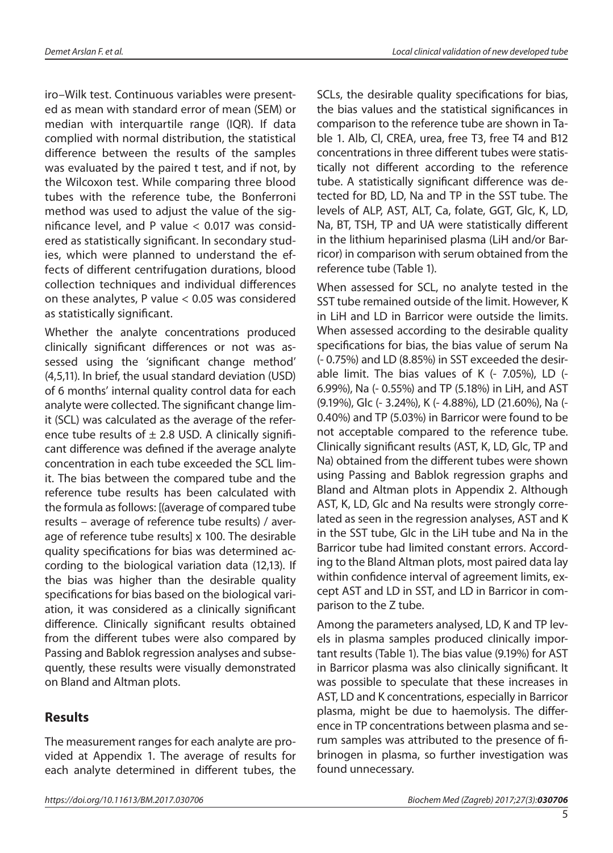iro–Wilk test. Continuous variables were presented as mean with standard error of mean (SEM) or median with interquartile range (IQR). If data complied with normal distribution, the statistical difference between the results of the samples was evaluated by the paired t test, and if not, by the Wilcoxon test. While comparing three blood tubes with the reference tube, the Bonferroni method was used to adjust the value of the significance level, and P value < 0.017 was considered as statistically significant. In secondary studies, which were planned to understand the effects of different centrifugation durations, blood collection techniques and individual differences on these analytes, P value < 0.05 was considered as statistically significant.

Whether the analyte concentrations produced clinically significant differences or not was assessed using the 'significant change method' (4,5,11). In brief, the usual standard deviation (USD) of 6 months' internal quality control data for each analyte were collected. The significant change limit (SCL) was calculated as the average of the reference tube results of  $\pm$  2.8 USD. A clinically significant difference was defined if the average analyte concentration in each tube exceeded the SCL limit. The bias between the compared tube and the reference tube results has been calculated with the formula as follows: [(average of compared tube results – average of reference tube results) / average of reference tube results] x 100. The desirable quality specifications for bias was determined according to the biological variation data (12,13). If the bias was higher than the desirable quality specifications for bias based on the biological variation, it was considered as a clinically significant difference. Clinically significant results obtained from the different tubes were also compared by Passing and Bablok regression analyses and subsequently, these results were visually demonstrated on Bland and Altman plots.

#### **Results**

The measurement ranges for each analyte are provided at Appendix 1. The average of results for each analyte determined in different tubes, the

SCLs, the desirable quality specifications for bias, the bias values and the statistical significances in comparison to the reference tube are shown in Table 1. Alb, Cl, CREA, urea, free T3, free T4 and B12 concentrations in three different tubes were statistically not different according to the reference tube. A statistically significant difference was detected for BD, LD, Na and TP in the SST tube. The levels of ALP, AST, ALT, Ca, folate, GGT, Glc, K, LD, Na, BT, TSH, TP and UA were statistically different in the lithium heparinised plasma (LiH and/or Barricor) in comparison with serum obtained from the reference tube (Table 1).

When assessed for SCL, no analyte tested in the SST tube remained outside of the limit. However, K in LiH and LD in Barricor were outside the limits. When assessed according to the desirable quality specifications for bias, the bias value of serum Na (- 0.75%) and LD (8.85%) in SST exceeded the desirable limit. The bias values of K (- 7.05%), LD (- 6.99%), Na (- 0.55%) and TP (5.18%) in LiH, and AST (9.19%), Glc (- 3.24%), K (- 4.88%), LD (21.60%), Na (- 0.40%) and TP (5.03%) in Barricor were found to be not acceptable compared to the reference tube. Clinically significant results (AST, K, LD, Glc, TP and Na) obtained from the different tubes were shown using Passing and Bablok regression graphs and Bland and Altman plots in Appendix 2. Although AST, K, LD, Glc and Na results were strongly correlated as seen in the regression analyses, AST and K in the SST tube, Glc in the LiH tube and Na in the Barricor tube had limited constant errors. According to the Bland Altman plots, most paired data lay within confidence interval of agreement limits, except AST and LD in SST, and LD in Barricor in comparison to the Z tube.

Among the parameters analysed, LD, K and TP levels in plasma samples produced clinically important results (Table 1). The bias value (9.19%) for AST in Barricor plasma was also clinically significant. It was possible to speculate that these increases in AST, LD and K concentrations, especially in Barricor plasma, might be due to haemolysis. The difference in TP concentrations between plasma and serum samples was attributed to the presence of fibrinogen in plasma, so further investigation was found unnecessary.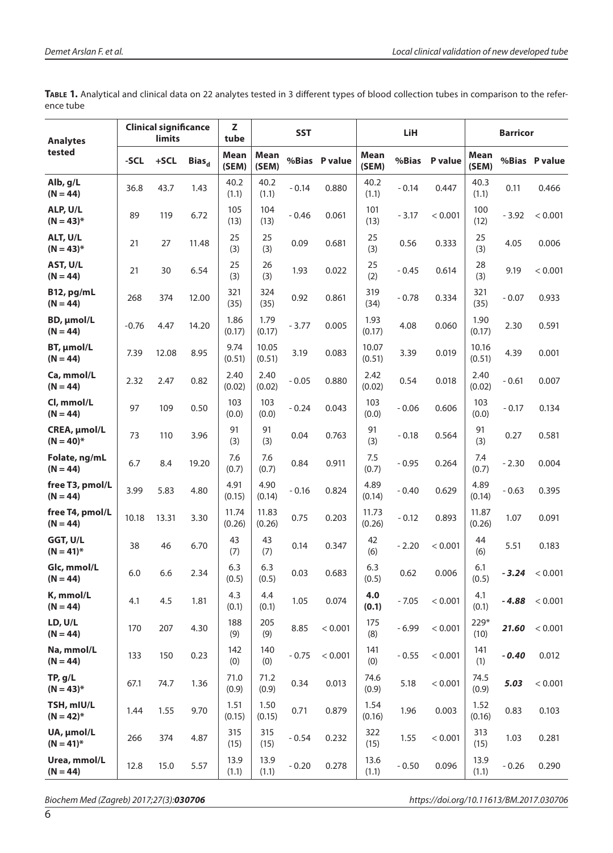| <b>Analytes</b>               | <b>Clinical significance</b><br><b>limits</b> |        |                          | Z<br>tube       | <b>SST</b>           |         |               | <b>LiH</b>      |         |         | <b>Barricor</b>      |         |               |
|-------------------------------|-----------------------------------------------|--------|--------------------------|-----------------|----------------------|---------|---------------|-----------------|---------|---------|----------------------|---------|---------------|
| tested                        | -SCL                                          | $+SCL$ | <b>Bias</b> <sub>d</sub> | Mean<br>(SEM)   | <b>Mean</b><br>(SEM) |         | %Bias P value | Mean<br>(SEM)   | %Bias   | P value | <b>Mean</b><br>(SEM) |         | %Bias P value |
| Alb, g/L<br>$(N = 44)$        | 36.8                                          | 43.7   | 1.43                     | 40.2<br>(1.1)   | 40.2<br>(1.1)        | $-0.14$ | 0.880         | 40.2<br>(1.1)   | $-0.14$ | 0.447   | 40.3<br>(1.1)        | 0.11    | 0.466         |
| ALP, U/L<br>$(N = 43)^*$      | 89                                            | 119    | 6.72                     | 105<br>(13)     | 104<br>(13)          | $-0.46$ | 0.061         | 101<br>(13)     | $-3.17$ | < 0.001 | 100<br>(12)          | $-3.92$ | < 0.001       |
| ALT, U/L<br>$(N = 43)^*$      | 21                                            | 27     | 11.48                    | 25<br>(3)       | 25<br>(3)            | 0.09    | 0.681         | 25<br>(3)       | 0.56    | 0.333   | 25<br>(3)            | 4.05    | 0.006         |
| AST, U/L<br>$(N = 44)$        | 21                                            | 30     | 6.54                     | 25<br>(3)       | 26<br>(3)            | 1.93    | 0.022         | 25<br>(2)       | $-0.45$ | 0.614   | 28<br>(3)            | 9.19    | < 0.001       |
| B12, pg/mL<br>$(N = 44)$      | 268                                           | 374    | 12.00                    | 321<br>(35)     | 324<br>(35)          | 0.92    | 0.861         | 319<br>(34)     | $-0.78$ | 0.334   | 321<br>(35)          | $-0.07$ | 0.933         |
| BD, µmol/L<br>$(N = 44)$      | $-0.76$                                       | 4.47   | 14.20                    | 1.86<br>(0.17)  | 1.79<br>(0.17)       | $-3.77$ | 0.005         | 1.93<br>(0.17)  | 4.08    | 0.060   | 1.90<br>(0.17)       | 2.30    | 0.591         |
| BT, µmol/L<br>$(N = 44)$      | 7.39                                          | 12.08  | 8.95                     | 9.74<br>(0.51)  | 10.05<br>(0.51)      | 3.19    | 0.083         | 10.07<br>(0.51) | 3.39    | 0.019   | 10.16<br>(0.51)      | 4.39    | 0.001         |
| Ca, mmol/L<br>$(N = 44)$      | 2.32                                          | 2.47   | 0.82                     | 2.40<br>(0.02)  | 2.40<br>(0.02)       | $-0.05$ | 0.880         | 2.42<br>(0.02)  | 0.54    | 0.018   | 2.40<br>(0.02)       | $-0.61$ | 0.007         |
| Cl, mmol/L<br>$(N = 44)$      | 97                                            | 109    | 0.50                     | 103<br>(0.0)    | 103<br>(0.0)         | $-0.24$ | 0.043         | 103<br>(0.0)    | $-0.06$ | 0.606   | 103<br>(0.0)         | $-0.17$ | 0.134         |
| CREA, µmol/L<br>$(N = 40)^*$  | 73                                            | 110    | 3.96                     | 91<br>(3)       | 91<br>(3)            | 0.04    | 0.763         | 91<br>(3)       | $-0.18$ | 0.564   | 91<br>(3)            | 0.27    | 0.581         |
| Folate, ng/mL<br>$(N = 44)$   | 6.7                                           | 8.4    | 19.20                    | 7.6<br>(0.7)    | 7.6<br>(0.7)         | 0.84    | 0.911         | 7.5<br>(0.7)    | $-0.95$ | 0.264   | 7.4<br>(0.7)         | $-2.30$ | 0.004         |
| free T3, pmol/L<br>$(N = 44)$ | 3.99                                          | 5.83   | 4.80                     | 4.91<br>(0.15)  | 4.90<br>(0.14)       | $-0.16$ | 0.824         | 4.89<br>(0.14)  | $-0.40$ | 0.629   | 4.89<br>(0.14)       | $-0.63$ | 0.395         |
| free T4, pmol/L<br>$(N = 44)$ | 10.18                                         | 13.31  | 3.30                     | 11.74<br>(0.26) | 11.83<br>(0.26)      | 0.75    | 0.203         | 11.73<br>(0.26) | $-0.12$ | 0.893   | 11.87<br>(0.26)      | 1.07    | 0.091         |
| GGT, U/L<br>$(N = 41)^*$      | 38                                            | 46     | 6.70                     | 43<br>(7)       | 43<br>(7)            | 0.14    | 0.347         | 42<br>(6)       | $-2.20$ | < 0.001 | 44<br>(6)            | 5.51    | 0.183         |
| Glc, mmol/L<br>$(N = 44)$     | 6.0                                           | 6.6    | 2.34                     | 6.3<br>(0.5)    | 6.3<br>(0.5)         | 0.03    | 0.683         | 6.3<br>(0.5)    | 0.62    | 0.006   | 6.1<br>(0.5)         | $-3.24$ | < 0.001       |
| K, mmol/L<br>$(N = 44)$       | 4.1                                           | 4.5    | 1.81                     | 4.3<br>(0.1)    | 4.4<br>(0.1)         | 1.05    | 0.074         | 4.0<br>(0.1)    | $-7.05$ | < 0.001 | 4.1<br>(0.1)         | $-4.88$ | < 0.001       |
| LD, U/L<br>$(N = 44)$         | 170                                           | 207    | 4.30                     | 188<br>(9)      | 205<br>(9)           | 8.85    | < 0.001       | 175<br>(8)      | $-6.99$ | < 0.001 | 229*<br>(10)         | 21.60   | < 0.001       |
| Na, mmol/L<br>$(N = 44)$      | 133                                           | 150    | 0.23                     | 142<br>(0)      | 140<br>(0)           | $-0.75$ | < 0.001       | 141<br>(0)      | $-0.55$ | < 0.001 | 141<br>(1)           | $-0.40$ | 0.012         |
| TP, g/L<br>$(N = 43)^*$       | 67.1                                          | 74.7   | 1.36                     | 71.0<br>(0.9)   | 71.2<br>(0.9)        | 0.34    | 0.013         | 74.6<br>(0.9)   | 5.18    | < 0.001 | 74.5<br>(0.9)        | 5.03    | < 0.001       |
| TSH, mIU/L<br>$(N = 42)^*$    | 1.44                                          | 1.55   | 9.70                     | 1.51<br>(0.15)  | 1.50<br>(0.15)       | 0.71    | 0.879         | 1.54<br>(0.16)  | 1.96    | 0.003   | 1.52<br>(0.16)       | 0.83    | 0.103         |
| UA, µmol/L<br>$(N = 41)^*$    | 266                                           | 374    | 4.87                     | 315<br>(15)     | 315<br>(15)          | $-0.54$ | 0.232         | 322<br>(15)     | 1.55    | < 0.001 | 313<br>(15)          | 1.03    | 0.281         |
| Urea, mmol/L<br>$(N = 44)$    | 12.8                                          | 15.0   | 5.57                     | 13.9<br>(1.1)   | 13.9<br>(1.1)        | $-0.20$ | 0.278         | 13.6<br>(1.1)   | $-0.50$ | 0.096   | 13.9<br>(1.1)        | $-0.26$ | 0.290         |

TABLE 1. Analytical and clinical data on 22 analytes tested in 3 different types of blood collection tubes in comparison to the reference tube

*Biochem Med (Zagreb) 2017;27(3):030706 https://doi.org/10.11613/BM.2017.030706*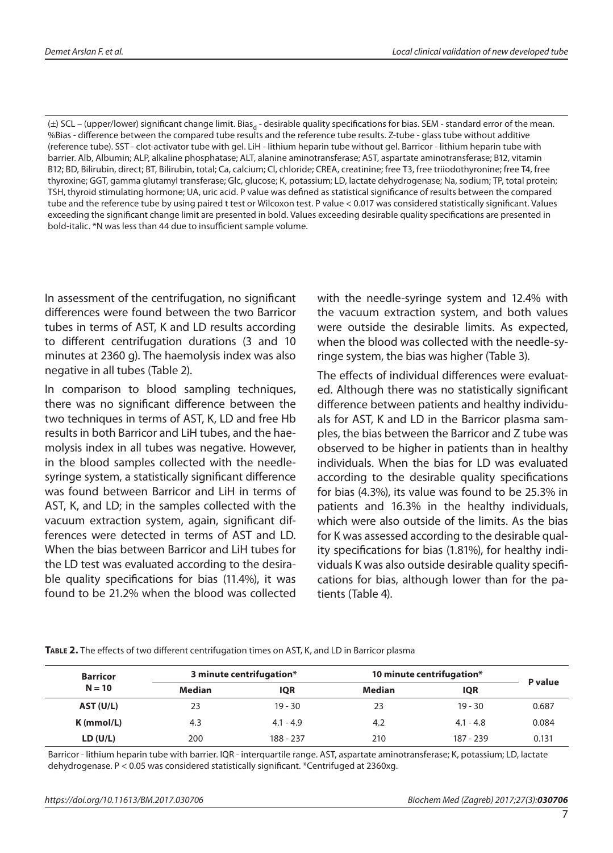( $\pm$ ) SCL – (upper/lower) significant change limit. Bias<sub>d</sub> - desirable quality specifications for bias. SEM - standard error of the mean. %Bias - difference between the compared tube results and the reference tube results. Z-tube - glass tube without additive (reference tube). SST - clot-activator tube with gel. LiH - lithium heparin tube without gel. Barricor - lithium heparin tube with barrier. Alb, Albumin; ALP, alkaline phosphatase; ALT, alanine aminotransferase; AST, aspartate aminotransferase; B12, vitamin B12; BD, Bilirubin, direct; BT, Bilirubin, total; Ca, calcium; Cl, chloride; CREA, creatinine; free T3, free triiodothyronine; free T4, free thyroxine; GGT, gamma glutamyl transferase; Glc, glucose; K, potassium; LD, lactate dehydrogenase; Na, sodium; TP, total protein; TSH, thyroid stimulating hormone; UA, uric acid. P value was defined as statistical significance of results between the compared tube and the reference tube by using paired t test or Wilcoxon test. P value < 0.017 was considered statistically significant. Values exceeding the significant change limit are presented in bold. Values exceeding desirable quality specifications are presented in bold-italic. \*N was less than 44 due to insufficient sample volume.

In assessment of the centrifugation, no significant differences were found between the two Barricor tubes in terms of AST, K and LD results according to different centrifugation durations (3 and 10 minutes at 2360 g). The haemolysis index was also negative in all tubes (Table 2).

In comparison to blood sampling techniques, there was no significant difference between the two techniques in terms of AST, K, LD and free Hb results in both Barricor and LiH tubes, and the haemolysis index in all tubes was negative. However, in the blood samples collected with the needlesyringe system, a statistically significant difference was found between Barricor and LiH in terms of AST, K, and LD; in the samples collected with the vacuum extraction system, again, significant differences were detected in terms of AST and LD. When the bias between Barricor and LiH tubes for the LD test was evaluated according to the desirable quality specifications for bias (11.4%), it was found to be 21.2% when the blood was collected

with the needle-syringe system and 12.4% with the vacuum extraction system, and both values were outside the desirable limits. As expected, when the blood was collected with the needle-syringe system, the bias was higher (Table 3).

The effects of individual differences were evaluated. Although there was no statistically significant difference between patients and healthy individuals for AST, K and LD in the Barricor plasma samples, the bias between the Barricor and Z tube was observed to be higher in patients than in healthy individuals. When the bias for LD was evaluated according to the desirable quality specifications for bias (4.3%), its value was found to be 25.3% in patients and 16.3% in the healthy individuals, which were also outside of the limits. As the bias for K was assessed according to the desirable quality specifications for bias (1.81%), for healthy individuals K was also outside desirable quality specifications for bias, although lower than for the patients (Table 4).

**Table 2.** The effects of two different centrifugation times on AST, K, and LD in Barricor plasma

| <b>Barricor</b> |               | 3 minute centrifugation* | 10 minute centrifugation* |             |         |  |
|-----------------|---------------|--------------------------|---------------------------|-------------|---------|--|
| $N = 10$        | <b>Median</b> | <b>IQR</b>               | Median                    | <b>IQR</b>  | P value |  |
| AST (U/L)       | 23            | $19 - 30$                | 23                        | $19 - 30$   | 0.687   |  |
| $K$ (mmol/L)    | 4.3           | $4.1 - 4.9$              | 4.2                       | $4.1 - 4.8$ | 0.084   |  |
| LD(U/L)         | 200           | 188 - 237                | 210                       | 187 - 239   | 0.131   |  |

Barricor - lithium heparin tube with barrier. IQR - interquartile range. AST, aspartate aminotransferase; K, potassium; LD, lactate dehydrogenase. P < 0.05 was considered statistically significant. \*Centrifuged at 2360xg.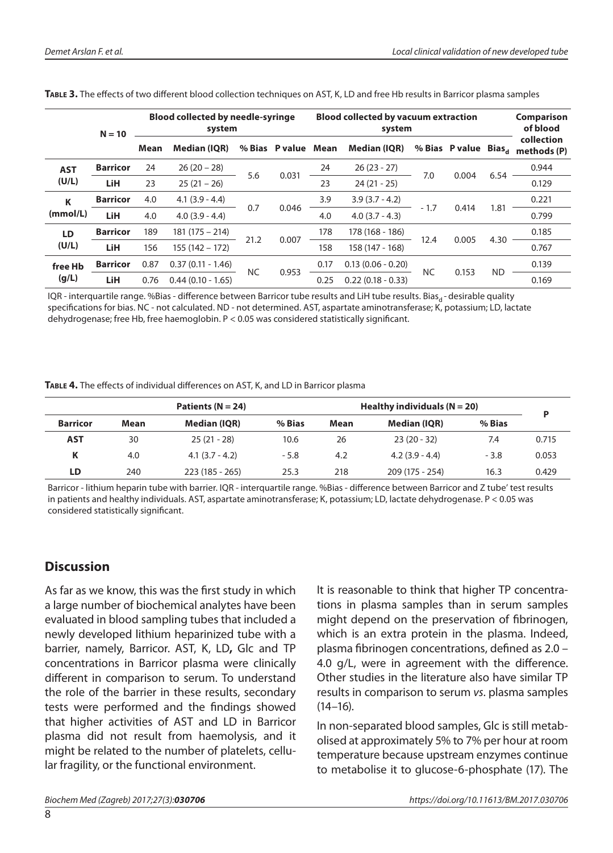|                     | $N = 10$        | <b>Blood collected by needle-syringe</b><br>system |                     |           |                     | <b>Blood collected by vacuum extraction</b><br>system |                     |           |                                  |           | <b>Comparison</b><br>of blood |
|---------------------|-----------------|----------------------------------------------------|---------------------|-----------|---------------------|-------------------------------------------------------|---------------------|-----------|----------------------------------|-----------|-------------------------------|
|                     |                 | Mean                                               | Median (IQR)        |           | % Bias P value Mean |                                                       | Median (IQR)        |           | % Bias P value Bias <sub>d</sub> |           | collection<br>methods (P)     |
| <b>AST</b><br>(U/L) | <b>Barricor</b> | 24                                                 | $26(20-28)$         |           | 0.031               | 24                                                    | $26(23 - 27)$       | 7.0       | 0.004                            | 6.54      | 0.944                         |
|                     | <b>LiH</b>      | 23                                                 | $25(21 - 26)$       | 5.6       |                     | 23                                                    | $24(21 - 25)$       |           |                                  |           | 0.129                         |
| K<br>(mmol/L)       | <b>Barricor</b> | 4.0                                                | $4.1$ (3.9 - 4.4)   | 0.7       | 0.046               | 3.9                                                   | $3.9(3.7 - 4.2)$    | $-1.7$    | 0.414                            | 1.81      | 0.221                         |
|                     | <b>LiH</b>      | 4.0                                                | $4.0(3.9 - 4.4)$    |           |                     | 4.0                                                   | $4.0(3.7 - 4.3)$    |           |                                  |           | 0.799                         |
| LD<br>(U/L)         | <b>Barricor</b> | 189                                                | $181(175 - 214)$    | 21.2      |                     | 178                                                   | 178 (168 - 186)     | 12.4      | 0.005                            | 4.30      | 0.185                         |
|                     | <b>LiH</b>      | 156                                                | $155(142 - 172)$    |           | 0.007               | 158                                                   | 158 (147 - 168)     |           |                                  |           | 0.767                         |
| free Hb<br>(g/L)    | <b>Barricor</b> | 0.87                                               | $0.37(0.11 - 1.46)$ |           | 0.953               | 0.17                                                  | $0.13(0.06 - 0.20)$ | <b>NC</b> | 0.153                            | <b>ND</b> | 0.139                         |
|                     | <b>LiH</b>      | 0.76                                               | $0.44(0.10 - 1.65)$ | <b>NC</b> |                     | 0.25                                                  | $0.22(0.18 - 0.33)$ |           |                                  |           | 0.169                         |

**Table 3.** The effects of two different blood collection techniques on AST, K, LD and free Hb results in Barricor plasma samples

IQR - interquartile range. %Bias - difference between Barricor tube results and LiH tube results. Bias, - desirable quality specifications for bias. NC - not calculated. ND - not determined. AST, aspartate aminotransferase; K, potassium; LD, lactate dehydrogenase; free Hb, free haemoglobin. P < 0.05 was considered statistically significant.

**Table 4.** The effects of individual differences on AST, K, and LD in Barricor plasma

|                 |      | Patients ( $N = 24$ ) |        | Healthy individuals $(N = 20)$ |                  |        |       |
|-----------------|------|-----------------------|--------|--------------------------------|------------------|--------|-------|
| <b>Barricor</b> | Mean | Median (IQR)          |        | Mean                           | Median (IQR)     | % Bias |       |
| <b>AST</b>      | 30   | $25(21 - 28)$         | 10.6   | 26                             | $23(20 - 32)$    | 7.4    | 0.715 |
| К               | 4.0  | $4.1(3.7 - 4.2)$      | $-5.8$ | 4.2                            | $4.2(3.9 - 4.4)$ | $-3.8$ | 0.053 |
| LD              | 240  | $223(185 - 265)$      | 25.3   | 218                            | 209 (175 - 254)  | 16.3   | 0.429 |

Barricor - lithium heparin tube with barrier. IQR - interquartile range. %Bias - difference between Barricor and Z tube' test results in patients and healthy individuals. AST, aspartate aminotransferase; K, potassium; LD, lactate dehydrogenase. P < 0.05 was considered statistically significant.

## **Discussion**

As far as we know, this was the first study in which a large number of biochemical analytes have been evaluated in blood sampling tubes that included a newly developed lithium heparinized tube with a barrier, namely, Barricor. AST, K, LD**,** Glc and TP concentrations in Barricor plasma were clinically different in comparison to serum. To understand the role of the barrier in these results, secondary tests were performed and the findings showed that higher activities of AST and LD in Barricor plasma did not result from haemolysis, and it might be related to the number of platelets, cellular fragility, or the functional environment.

It is reasonable to think that higher TP concentrations in plasma samples than in serum samples might depend on the preservation of fibrinogen, which is an extra protein in the plasma. Indeed, plasma fibrinogen concentrations, defined as 2.0 – 4.0 g/L, were in agreement with the difference. Other studies in the literature also have similar TP results in comparison to serum *vs*. plasma samples  $(14–16)$ .

In non-separated blood samples, Glc is still metabolised at approximately 5% to 7% per hour at room temperature because upstream enzymes continue to metabolise it to glucose-6-phosphate (17). The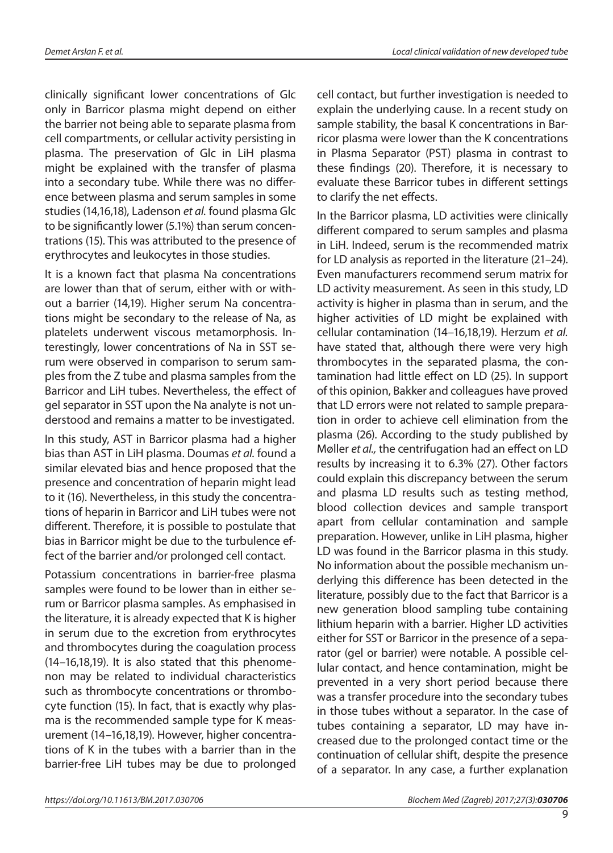clinically significant lower concentrations of Glc only in Barricor plasma might depend on either the barrier not being able to separate plasma from cell compartments, or cellular activity persisting in plasma. The preservation of Glc in LiH plasma might be explained with the transfer of plasma into a secondary tube. While there was no difference between plasma and serum samples in some studies (14,16,18), Ladenson *et al.* found plasma Glc to be significantly lower (5.1%) than serum concentrations (15). This was attributed to the presence of erythrocytes and leukocytes in those studies.

It is a known fact that plasma Na concentrations are lower than that of serum, either with or without a barrier (14,19). Higher serum Na concentrations might be secondary to the release of Na, as platelets underwent viscous metamorphosis. Interestingly, lower concentrations of Na in SST serum were observed in comparison to serum samples from the Z tube and plasma samples from the Barricor and LiH tubes. Nevertheless, the effect of gel separator in SST upon the Na analyte is not understood and remains a matter to be investigated.

In this study, AST in Barricor plasma had a higher bias than AST in LiH plasma. Doumas *et al.* found a similar elevated bias and hence proposed that the presence and concentration of heparin might lead to it (16). Nevertheless, in this study the concentrations of heparin in Barricor and LiH tubes were not different. Therefore, it is possible to postulate that bias in Barricor might be due to the turbulence effect of the barrier and/or prolonged cell contact.

Potassium concentrations in barrier-free plasma samples were found to be lower than in either serum or Barricor plasma samples. As emphasised in the literature, it is already expected that K is higher in serum due to the excretion from erythrocytes and thrombocytes during the coagulation process (14–16,18,19). It is also stated that this phenomenon may be related to individual characteristics such as thrombocyte concentrations or thrombocyte function (15). In fact, that is exactly why plasma is the recommended sample type for K measurement (14–16,18,19). However, higher concentrations of K in the tubes with a barrier than in the barrier-free LiH tubes may be due to prolonged

cell contact, but further investigation is needed to explain the underlying cause. In a recent study on sample stability, the basal K concentrations in Barricor plasma were lower than the K concentrations in Plasma Separator (PST) plasma in contrast to these findings (20). Therefore, it is necessary to evaluate these Barricor tubes in different settings to clarify the net effects.

In the Barricor plasma, LD activities were clinically different compared to serum samples and plasma in LiH. Indeed, serum is the recommended matrix for LD analysis as reported in the literature (21–24). Even manufacturers recommend serum matrix for LD activity measurement. As seen in this study, LD activity is higher in plasma than in serum, and the higher activities of LD might be explained with cellular contamination (14–16,18,19). Herzum *et al.* have stated that, although there were very high thrombocytes in the separated plasma, the contamination had little effect on LD (25). In support of this opinion, Bakker and colleagues have proved that LD errors were not related to sample preparation in order to achieve cell elimination from the plasma (26). According to the study published by Møller *et al.,* the centrifugation had an effect on LD results by increasing it to 6.3% (27). Other factors could explain this discrepancy between the serum and plasma LD results such as testing method, blood collection devices and sample transport apart from cellular contamination and sample preparation. However, unlike in LiH plasma, higher LD was found in the Barricor plasma in this study. No information about the possible mechanism underlying this difference has been detected in the literature, possibly due to the fact that Barricor is a new generation blood sampling tube containing lithium heparin with a barrier. Higher LD activities either for SST or Barricor in the presence of a separator (gel or barrier) were notable. A possible cellular contact, and hence contamination, might be prevented in a very short period because there was a transfer procedure into the secondary tubes in those tubes without a separator. In the case of tubes containing a separator, LD may have increased due to the prolonged contact time or the continuation of cellular shift, despite the presence of a separator. In any case, a further explanation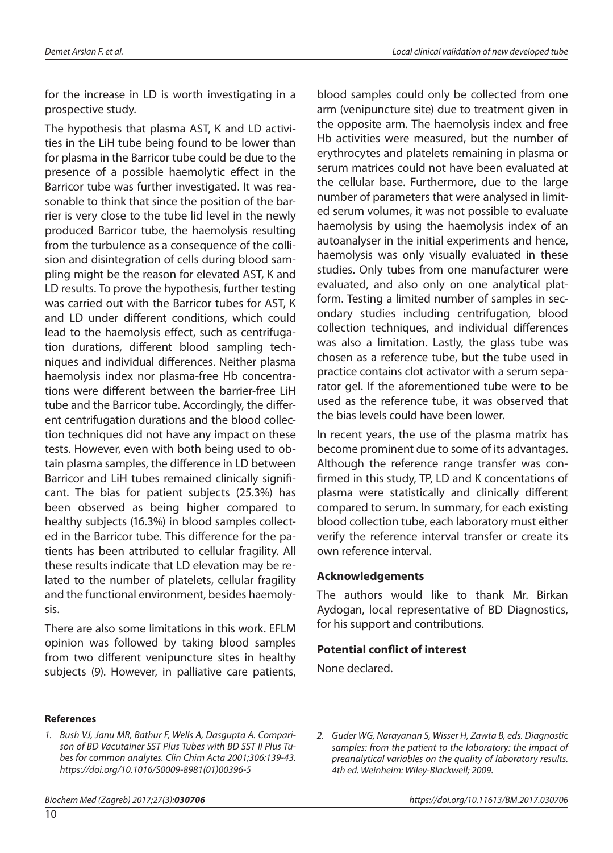for the increase in LD is worth investigating in a prospective study.

The hypothesis that plasma AST, K and LD activities in the LiH tube being found to be lower than for plasma in the Barricor tube could be due to the presence of a possible haemolytic effect in the Barricor tube was further investigated. It was reasonable to think that since the position of the barrier is very close to the tube lid level in the newly produced Barricor tube, the haemolysis resulting from the turbulence as a consequence of the collision and disintegration of cells during blood sampling might be the reason for elevated AST, K and LD results. To prove the hypothesis, further testing was carried out with the Barricor tubes for AST, K and LD under different conditions, which could lead to the haemolysis effect, such as centrifugation durations, different blood sampling techniques and individual differences. Neither plasma haemolysis index nor plasma-free Hb concentrations were different between the barrier-free LiH tube and the Barricor tube. Accordingly, the different centrifugation durations and the blood collection techniques did not have any impact on these tests. However, even with both being used to obtain plasma samples, the difference in LD between Barricor and LiH tubes remained clinically significant. The bias for patient subjects (25.3%) has been observed as being higher compared to healthy subjects (16.3%) in blood samples collected in the Barricor tube. This difference for the patients has been attributed to cellular fragility. All these results indicate that LD elevation may be related to the number of platelets, cellular fragility and the functional environment, besides haemolysis.

There are also some limitations in this work. EFLM opinion was followed by taking blood samples from two different venipuncture sites in healthy subjects (9). However, in palliative care patients,

#### blood samples could only be collected from one arm (venipuncture site) due to treatment given in the opposite arm. The haemolysis index and free Hb activities were measured, but the number of erythrocytes and platelets remaining in plasma or serum matrices could not have been evaluated at the cellular base. Furthermore, due to the large number of parameters that were analysed in limited serum volumes, it was not possible to evaluate haemolysis by using the haemolysis index of an autoanalyser in the initial experiments and hence, haemolysis was only visually evaluated in these studies. Only tubes from one manufacturer were evaluated, and also only on one analytical platform. Testing a limited number of samples in secondary studies including centrifugation, blood collection techniques, and individual differences was also a limitation. Lastly, the glass tube was chosen as a reference tube, but the tube used in practice contains clot activator with a serum separator gel. If the aforementioned tube were to be used as the reference tube, it was observed that the bias levels could have been lower.

In recent years, the use of the plasma matrix has become prominent due to some of its advantages. Although the reference range transfer was confirmed in this study, TP, LD and K concentations of plasma were statistically and clinically different compared to serum. In summary, for each existing blood collection tube, each laboratory must either verify the reference interval transfer or create its own reference interval.

#### **Acknowledgements**

The authors would like to thank Mr. Birkan Aydogan, local representative of BD Diagnostics, for his support and contributions.

#### **Potential conflict of interest**

None declared.

#### **References**

*1. Bush VJ, Janu MR, Bathur F, Wells A, Dasgupta A. Comparison of BD Vacutainer SST Plus Tubes with BD SST II Plus Tubes for common analytes. Clin Chim Acta 2001;306:139-43. https://doi.org/10.1016/S0009-8981(01)00396-5*

*2. Guder WG, Narayanan S, Wisser H, Zawta B, eds. Diagnostic samples: from the patient to the laboratory: the impact of preanalytical variables on the quality of laboratory results. 4th ed. Weinheim: Wiley-Blackwell; 2009.*